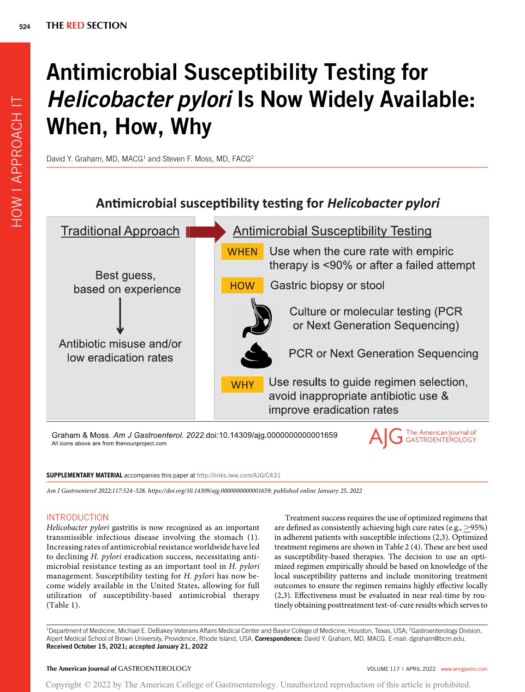# Antimicrobial Susceptibility Testing for **Helicobacter pylori Is Now Widely Available:** When, How, Why

David Y. Graham, MD, MACG<sup>1</sup> and Steven F. Moss, MD, FACG<sup>2</sup>



Graham & Moss. Am J Gastroenterol. 2022.doi:10.14309/ajg.0000000000001659 All icons above are from thenounproject.com

#### SUPPLEMENTARY MATERIAL accompanies this paper at <http://links.lww.com/AJG/C431>

Am J Gastroenterol 2022;117:524–528. [https://doi.org/10.14309/ajg.0000000000001659;](https://doi.org/10.14309/ajg.0000000000001659) published online January 25, 2022

# INTRODUCTION

Helicobacter pylori gastritis is now recognized as an important transmissible infectious disease involving the stomach (1). Increasing rates of antimicrobial resistance worldwide have led to declining H. pylori eradication success, necessitating antimicrobial resistance testing as an important tool in H. pylori management. Susceptibility testing for H. pylori has now become widely available in the United States, allowing for full utilization of susceptibility-based antimicrobial therapy (Table 1).

Treatment success requires the use of optimized regimens that are defined as consistently achieving high cure rates (e.g.,  $>$ 95%) in adherent patients with susceptible infections (2,3). Optimized treatment regimens are shown in Table 2 (4). These are best used as susceptibility-based therapies. The decision to use an optimized regimen empirically should be based on knowledge of the local susceptibility patterns and include monitoring treatment outcomes to ensure the regimen remains highly effective locally (2,3). Effectiveness must be evaluated in near real-time by routinely obtaining posttreatment test-of-cure results which serves to

<sup>1</sup>Department of Medicine, Michael E. DeBakey Veterans Affairs Medical Center and Baylor College of Medicine, Houston, Texas, USA; <sup>2</sup>Gastroenterology Division, Alpert Medical School of Brown University, Providence, Rhode Island, USA. Correspondence: David Y. Graham, MD, MACG. E-mail: [dgraham@bcm.edu](mailto:dgraham@bcm.edu). Received October 15, 2021; accepted January 21, 2022

# The American Journal of GASTROENTEROLOGY **Volume 12 and 2012** VOLUME 117 | APRIL 2022 www.amigastro.com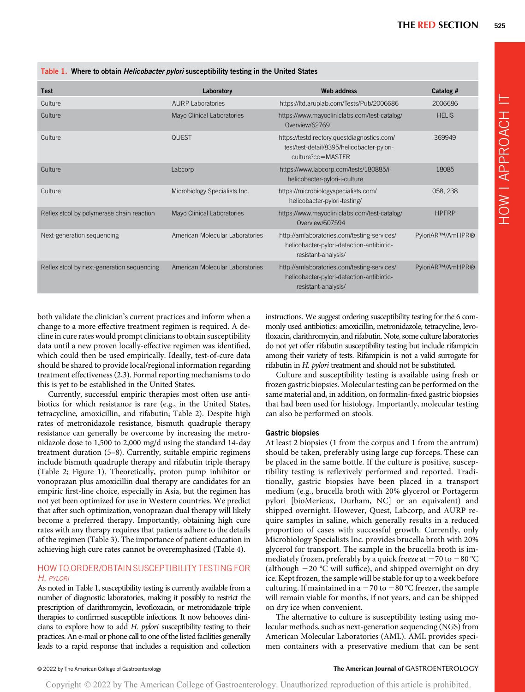|  | Table 1. Where to obtain <i>Helicobacter pylori</i> susceptibility testing in the United States |  |  |  |  |  |  |  |
|--|-------------------------------------------------------------------------------------------------|--|--|--|--|--|--|--|
|--|-------------------------------------------------------------------------------------------------|--|--|--|--|--|--|--|

| <b>Test</b>                                | Laboratory                      | <b>Web address</b>                                                                                                        | Catalog #        |
|--------------------------------------------|---------------------------------|---------------------------------------------------------------------------------------------------------------------------|------------------|
| Culture                                    | AURP Laboratories               | https://ltd.aruplab.com/Tests/Pub/2006686                                                                                 | 2006686          |
| Culture                                    | Mayo Clinical Laboratories      | https://www.mayocliniclabs.com/test-catalog/<br>Overview/62769                                                            | <b>HELIS</b>     |
| Culture                                    | <b>QUEST</b>                    | https://testdirectory.questdiagnostics.com/<br>test/test-detail/8395/helicobacter-pylori-<br>$culture?cc = \text{MASTER}$ | 369949           |
| Culture                                    | Labcorp                         | https://www.labcorp.com/tests/180885/i-<br>helicobacter-pylori-i-culture                                                  | 18085            |
| Culture                                    | Microbiology Specialists Inc.   | https://microbiologyspecialists.com/<br>helicobacter-pylori-testing/                                                      | 058, 238         |
| Reflex stool by polymerase chain reaction  | Mayo Clinical Laboratories      | https://www.mayocliniclabs.com/test-catalog/<br>Overview/607594                                                           | <b>HPFRP</b>     |
| Next-generation sequencing                 | American Molecular Laboratories | http://amlaboratories.com/testing-services/<br>helicobacter-pylori-detection-antibiotic-<br>resistant-analysis/           | PyloriAR™/AmHPR® |
| Reflex stool by next-generation sequencing | American Molecular Laboratories | http://amlaboratories.com/testing-services/<br>helicobacter-pylori-detection-antibiotic-<br>resistant-analysis/           | PyloriAR™/AmHPR® |

both validate the clinician's current practices and inform when a change to a more effective treatment regimen is required. A decline in cure rates would prompt clinicians to obtain susceptibility data until a new proven locally-effective regimen was identified, which could then be used empirically. Ideally, test-of-cure data should be shared to provide local/regional information regarding treatment effectiveness (2,3). Formal reporting mechanisms to do this is yet to be established in the United States.

Currently, successful empiric therapies most often use antibiotics for which resistance is rare (e.g., in the United States, tetracycline, amoxicillin, and rifabutin; Table 2). Despite high rates of metronidazole resistance, bismuth quadruple therapy resistance can generally be overcome by increasing the metronidazole dose to 1,500 to 2,000 mg/d using the standard 14-day treatment duration (5–8). Currently, suitable empiric regimens include bismuth quadruple therapy and rifabutin triple therapy (Table 2; Figure 1). Theoretically, proton pump inhibitor or vonoprazan plus amoxicillin dual therapy are candidates for an empiric first-line choice, especially in Asia, but the regimen has not yet been optimized for use in Western countries. We predict that after such optimization, vonoprazan dual therapy will likely become a preferred therapy. Importantly, obtaining high cure rates with any therapy requires that patients adhere to the details of the regimen (Table 3). The importance of patient education in achieving high cure rates cannot be overemphasized (Table 4).

# HOW TO ORDER/OBTAIN SUSCEPTIBILITY TESTING FOR H. PYLORI

As noted in Table 1, susceptibility testing is currently available from a number of diagnostic laboratories, making it possibly to restrict the prescription of clarithromycin, levofloxacin, or metronidazole triple therapies to confirmed susceptible infections. It now behooves clinicians to explore how to add H. pylori susceptibility testing to their practices. An e-mail or phone call to one of the listed facilities generally leads to a rapid response that includes a requisition and collection instructions. We suggest ordering susceptibility testing for the 6 commonly used antibiotics: amoxicillin, metronidazole, tetracycline, levofloxacin, clarithromycin, and rifabutin. Note, some culture laboratories do not yet offer rifabutin susceptibility testing but include rifampicin among their variety of tests. Rifampicin is not a valid surrogate for rifabutin in H. pylori treatment and should not be substituted.

Culture and susceptibility testing is available using fresh or frozen gastric biopsies. Molecular testing can be performed on the same material and, in addition, on formalin-fixed gastric biopsies that had been used for histology. Importantly, molecular testing can also be performed on stools.

#### Gastric biopsies

At least 2 biopsies (1 from the corpus and 1 from the antrum) should be taken, preferably using large cup forceps. These can be placed in the same bottle. If the culture is positive, susceptibility testing is reflexively performed and reported. Traditionally, gastric biopsies have been placed in a transport medium (e.g., brucella broth with 20% glycerol or Portagerm pylori [bioMerieux, Durham, NC] or an equivalent) and shipped overnight. However, Quest, Labcorp, and AURP require samples in saline, which generally results in a reduced proportion of cases with successful growth. Currently, only Microbiology Specialists Inc. provides brucella broth with 20% glycerol for transport. The sample in the brucella broth is immediately frozen, preferably by a quick freeze at  $-70$  to  $-80$  °C (although  $-20$  °C will suffice), and shipped overnight on dry ice. Kept frozen, the sample will be stable for up to a week before culturing. If maintained in a  $-70$  to  $-80$  °C freezer, the sample will remain viable for months, if not years, and can be shipped on dry ice when convenient.

The alternative to culture is susceptibility testing using molecular methods, such as next-generation sequencing (NGS) from American Molecular Laboratories (AML). AML provides specimen containers with a preservative medium that can be sent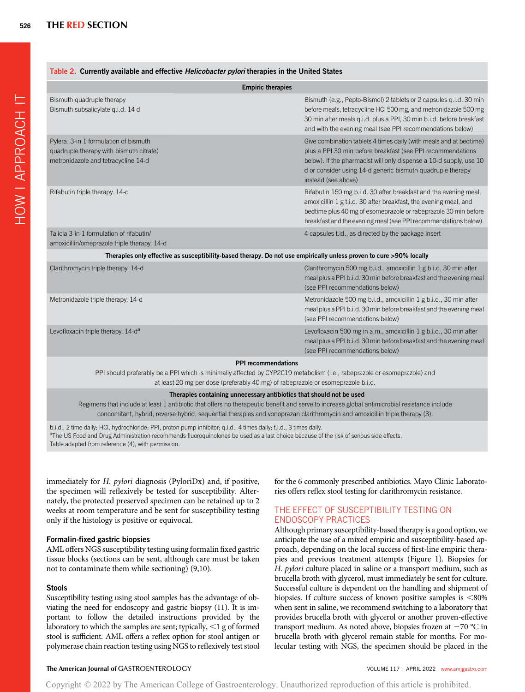#### Table 2. Currently available and effective Helicobacter pylori therapies in the United States

| <b>Empiric therapies</b>                                                                                                                                                                                                                   |                                                                                                                                                                                                                                                                                              |  |  |  |  |  |  |  |
|--------------------------------------------------------------------------------------------------------------------------------------------------------------------------------------------------------------------------------------------|----------------------------------------------------------------------------------------------------------------------------------------------------------------------------------------------------------------------------------------------------------------------------------------------|--|--|--|--|--|--|--|
| Bismuth quadruple therapy<br>Bismuth subsalicylate g.i.d. 14 d                                                                                                                                                                             | Bismuth (e.g., Pepto-Bismol) 2 tablets or 2 capsules g.i.d. 30 min<br>before meals, tetracycline HCI 500 mg, and metronidazole 500 mg<br>30 min after meals q.i.d. plus a PPI, 30 min b.i.d. before breakfast<br>and with the evening meal (see PPI recommendations below)                   |  |  |  |  |  |  |  |
| Pylera. 3-in 1 formulation of bismuth<br>quadruple therapy with bismuth citrate)<br>metronidazole and tetracycline 14-d                                                                                                                    | Give combination tablets 4 times daily (with meals and at bedtime)<br>plus a PPI 30 min before breakfast (see PPI recommendations<br>below). If the pharmacist will only dispense a 10-d supply, use 10<br>d or consider using 14-d generic bismuth quadruple therapy<br>instead (see above) |  |  |  |  |  |  |  |
| Rifabutin triple therapy. 14-d                                                                                                                                                                                                             | Rifabutin 150 mg b.i.d. 30 after breakfast and the evening meal,<br>amoxicillin 1 g t.i.d. 30 after breakfast, the evening meal, and<br>bedtime plus 40 mg of esomeprazole or rabeprazole 30 min before<br>breakfast and the evening meal (see PPI recommendations below).                   |  |  |  |  |  |  |  |
| Talicia 3-in 1 formulation of rifabutin/<br>amoxicillin/omeprazole triple therapy. 14-d                                                                                                                                                    | 4 capsules t.id., as directed by the package insert                                                                                                                                                                                                                                          |  |  |  |  |  |  |  |
| Therapies only effective as susceptibility-based therapy. Do not use empirically unless proven to cure >90% locally                                                                                                                        |                                                                                                                                                                                                                                                                                              |  |  |  |  |  |  |  |
| Clarithromycin triple therapy. 14-d                                                                                                                                                                                                        | Clarithromycin 500 mg b.i.d., amoxicillin 1 g b.i.d. 30 min after<br>meal plus a PPI b.i.d. 30 min before breakfast and the evening meal<br>(see PPI recommendations below)                                                                                                                  |  |  |  |  |  |  |  |
| Metronidazole triple therapy. 14-d                                                                                                                                                                                                         | Metronidazole 500 mg b.i.d., amoxicillin 1 g b.i.d., 30 min after<br>meal plus a PPI b.i.d. 30 min before breakfast and the evening meal<br>(see PPI recommendations below)                                                                                                                  |  |  |  |  |  |  |  |
| Levofloxacin triple therapy. 14-d <sup>a</sup>                                                                                                                                                                                             | Levofloxacin 500 mg in a.m., amoxicillin 1 g b.i.d., 30 min after<br>meal plus a PPI b.i.d. 30 min before breakfast and the evening meal<br>(see PPI recommendations below)                                                                                                                  |  |  |  |  |  |  |  |
| <b>PPI</b> recommendations<br>PPI should preferably be a PPI which is minimally affected by CYP2C19 metabolism (i.e., rabeprazole or esomeprazole) and<br>at least 20 mg per dose (preferably 40 mg) of rabeprazole or esomeprazole b.i.d. |                                                                                                                                                                                                                                                                                              |  |  |  |  |  |  |  |
| Therapies containing unnecessary antibiotics that should not be used                                                                                                                                                                       |                                                                                                                                                                                                                                                                                              |  |  |  |  |  |  |  |

Regimens that include at least 1 antibiotic that offers no therapeutic benefit and serve to increase global antimicrobial resistance include concomitant, hybrid, reverse hybrid, sequential therapies and vonoprazan clarithromycin and amoxicillin triple therapy (3).

b.i.d., 2 time daily; HCl, hydrochloride; PPI, proton pump inhibitor; q.i.d., 4 times daily; t.i.d., 3 times daily. <sup>a</sup>The US Food and Drug Administration recommends fluoroquinolones be used as a last choice because of the risk of serious side effects. Table adapted from reference (4), with permission.

immediately for H. pylori diagnosis (PyloriDx) and, if positive, the specimen will reflexively be tested for susceptibility. Alternately, the protected preserved specimen can be retained up to 2 weeks at room temperature and be sent for susceptibility testing only if the histology is positive or equivocal.

# Formalin-fixed gastric biopsies

AML offers NGS susceptibility testing using formalin fixed gastric tissue blocks (sections can be sent, although care must be taken not to contaminate them while sectioning) (9,10).

# **Stools**

Susceptibility testing using stool samples has the advantage of obviating the need for endoscopy and gastric biopsy (11). It is important to follow the detailed instructions provided by the laboratory to which the samples are sent; typically,  $\leq 1$  g of formed stool is sufficient. AML offers a reflex option for stool antigen or polymerase chain reaction testing using NGS to reflexively test stool for the 6 commonly prescribed antibiotics. Mayo Clinic Laboratories offers reflex stool testing for clarithromycin resistance.

# THE EFFECT OF SUSCEPTIBILITY TESTING ON ENDOSCOPY PRACTICES

Although primary susceptibility-based therapy is a good option, we anticipate the use of a mixed empiric and susceptibility-based approach, depending on the local success of first-line empiric therapies and previous treatment attempts (Figure 1). Biopsies for H. pylori culture placed in saline or a transport medium, such as brucella broth with glycerol, must immediately be sent for culture. Successful culture is dependent on the handling and shipment of biopsies. If culture success of known positive samples is  $<80\%$ when sent in saline, we recommend switching to a laboratory that provides brucella broth with glycerol or another proven-effective transport medium. As noted above, biopsies frozen at  $-70$  °C in brucella broth with glycerol remain stable for months. For molecular testing with NGS, the specimen should be placed in the

# The American Journal of GASTROENTEROLOGY **Annual American Journal of GASTROENTEROLOGY VOLUME 117 | APRIL 2022** [www.amjgastro.com](http://www.amjgastro.com)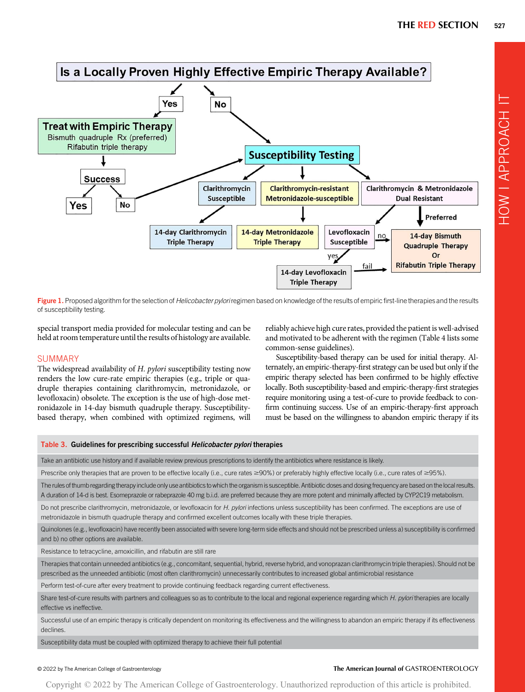HOW I APPROACH IT

HOW I APPROACH IT



Figure 1. Proposed algorithm for the selection of Helicobacter pyloriregimen based on knowledge of the results of empiric first-line therapies and the results of susceptibility testing.

special transport media provided for molecular testing and can be held at room temperature until the results of histology are available.

# **SUMMARY**

The widespread availability of H. pylori susceptibility testing now renders the low cure-rate empiric therapies (e.g., triple or quadruple therapies containing clarithromycin, metronidazole, or levofloxacin) obsolete. The exception is the use of high-dose metronidazole in 14-day bismuth quadruple therapy. Susceptibilitybased therapy, when combined with optimized regimens, will reliably achieve high cure rates, provided the patient is well-advised and motivated to be adherent with the regimen (Table 4 lists some common-sense guidelines).

Susceptibility-based therapy can be used for initial therapy. Alternately, an empiric-therapy-first strategy can be used but only if the empiric therapy selected has been confirmed to be highly effective locally. Both susceptibility-based and empiric-therapy-first strategies require monitoring using a test-of-cure to provide feedback to confirm continuing success. Use of an empiric-therapy-first approach must be based on the willingness to abandon empiric therapy if its

#### Table 3. Guidelines for prescribing successful Helicobacter pylori therapies

Take an antibiotic use history and if available review previous prescriptions to identify the antibiotics where resistance is likely.

Prescribe only therapies that are proven to be effective locally (i.e., cure rates  $\geq 90\%$ ) or preferably highly effective locally (i.e., cure rates of  $\geq 95\%$ ).

The rules of thumb regarding therapy include only use antibiotics to which the organism is susceptible. Antibiotic doses and dosing frequency are based on the local results. A duration of 14-d is best. Esomeprazole or rabeprazole 40 mg b.i.d. are preferred because they are more potent and minimally affected by CYP2C19 metabolism.

Do not prescribe clarithromycin, metronidazole, or levofloxacin for H. pylori infections unless susceptibility has been confirmed. The exceptions are use of metronidazole in bismuth quadruple therapy and confirmed excellent outcomes locally with these triple therapies.

Quinolones (e.g., levofloxacin) have recently been associated with severe long-term side effects and should not be prescribed unless a) susceptibility is confirmed and b) no other options are available.

Resistance to tetracycline, amoxicillin, and rifabutin are still rare

Therapies that contain unneeded antibiotics (e.g., concomitant, sequential, hybrid, reverse hybrid, and vonoprazan clarithromycin triple therapies). Should not be prescribed as the unneeded antibiotic (most often clarithromycin) unnecessarily contributes to increased global antimicrobial resistance

Perform test-of-cure after every treatment to provide continuing feedback regarding current effectiveness.

Share test-of-cure results with partners and colleagues so as to contribute to the local and regional experience regarding which H. pylori therapies are locally effective vs ineffective.

Successful use of an empiric therapy is critically dependent on monitoring its effectiveness and the willingness to abandon an empiric therapy if its effectiveness declines.

Susceptibility data must be coupled with optimized therapy to achieve their full potential

# © 2022 by The American College of Gastroenterology The American Journal of GASTROENTEROLOGY